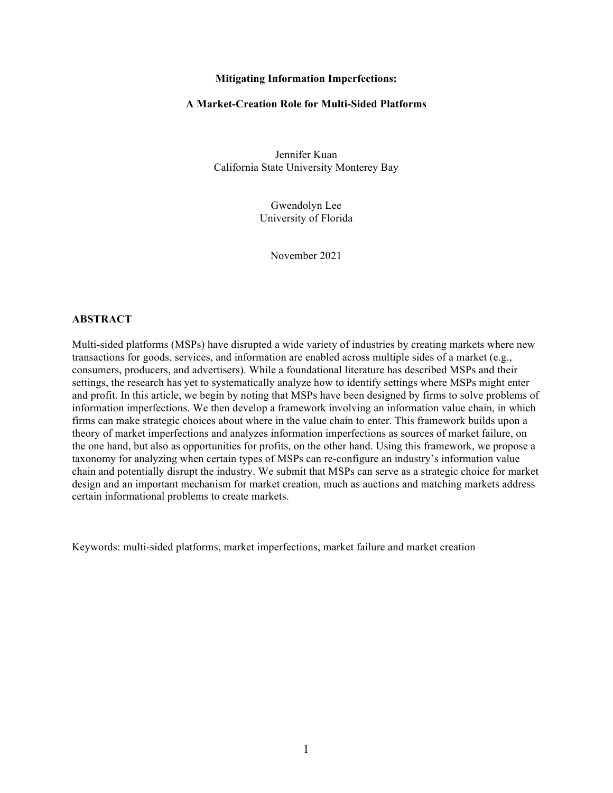### **Mitigating Information Imperfections:**

### **A Market-Creation Role for Multi-Sided Platforms**

Jennifer Kuan California State University Monterey Bay

> Gwendolyn Lee University of Florida

> > November 2021

## **ABSTRACT**

Multi-sided platforms (MSPs) have disrupted a wide variety of industries by creating markets where new transactions for goods, services, and information are enabled across multiple sides of a market (e.g., consumers, producers, and advertisers). While a foundational literature has described MSPs and their settings, the research has yet to systematically analyze how to identify settings where MSPs might enter and profit. In this article, we begin by noting that MSPs have been designed by firms to solve problems of information imperfections. We then develop a framework involving an information value chain, in which firms can make strategic choices about where in the value chain to enter. This framework builds upon a theory of market imperfections and analyzes information imperfections as sources of market failure, on the one hand, but also as opportunities for profits, on the other hand. Using this framework, we propose a taxonomy for analyzing when certain types of MSPs can re-configure an industry's information value chain and potentially disrupt the industry. We submit that MSPs can serve as a strategic choice for market design and an important mechanism for market creation, much as auctions and matching markets address certain informational problems to create markets.

Keywords: multi-sided platforms, market imperfections, market failure and market creation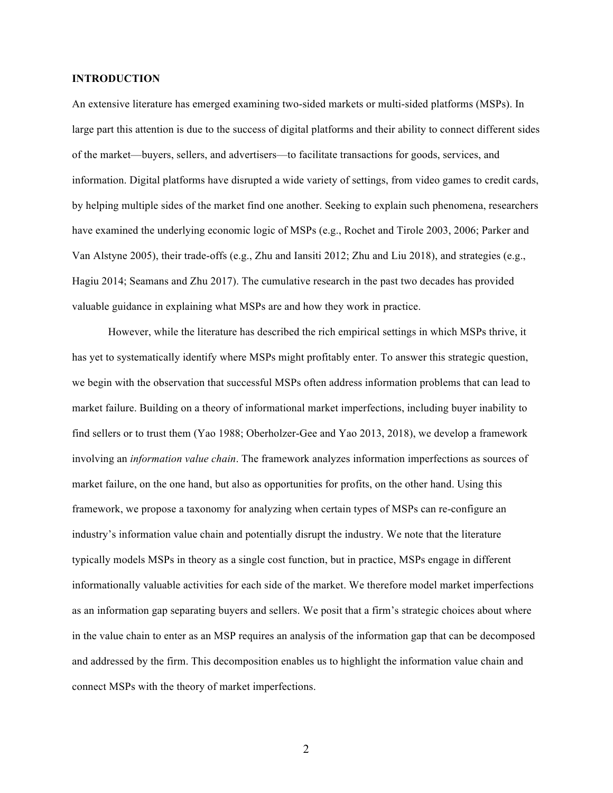## **INTRODUCTION**

An extensive literature has emerged examining two-sided markets or multi-sided platforms (MSPs). In large part this attention is due to the success of digital platforms and their ability to connect different sides of the market—buyers, sellers, and advertisers—to facilitate transactions for goods, services, and information. Digital platforms have disrupted a wide variety of settings, from video games to credit cards, by helping multiple sides of the market find one another. Seeking to explain such phenomena, researchers have examined the underlying economic logic of MSPs (e.g., Rochet and Tirole 2003, 2006; Parker and Van Alstyne 2005), their trade-offs (e.g., Zhu and Iansiti 2012; Zhu and Liu 2018), and strategies (e.g., Hagiu 2014; Seamans and Zhu 2017). The cumulative research in the past two decades has provided valuable guidance in explaining what MSPs are and how they work in practice.

However, while the literature has described the rich empirical settings in which MSPs thrive, it has yet to systematically identify where MSPs might profitably enter. To answer this strategic question, we begin with the observation that successful MSPs often address information problems that can lead to market failure. Building on a theory of informational market imperfections, including buyer inability to find sellers or to trust them (Yao 1988; Oberholzer-Gee and Yao 2013, 2018), we develop a framework involving an *information value chain*. The framework analyzes information imperfections as sources of market failure, on the one hand, but also as opportunities for profits, on the other hand. Using this framework, we propose a taxonomy for analyzing when certain types of MSPs can re-configure an industry's information value chain and potentially disrupt the industry. We note that the literature typically models MSPs in theory as a single cost function, but in practice, MSPs engage in different informationally valuable activities for each side of the market. We therefore model market imperfections as an information gap separating buyers and sellers. We posit that a firm's strategic choices about where in the value chain to enter as an MSP requires an analysis of the information gap that can be decomposed and addressed by the firm. This decomposition enables us to highlight the information value chain and connect MSPs with the theory of market imperfections.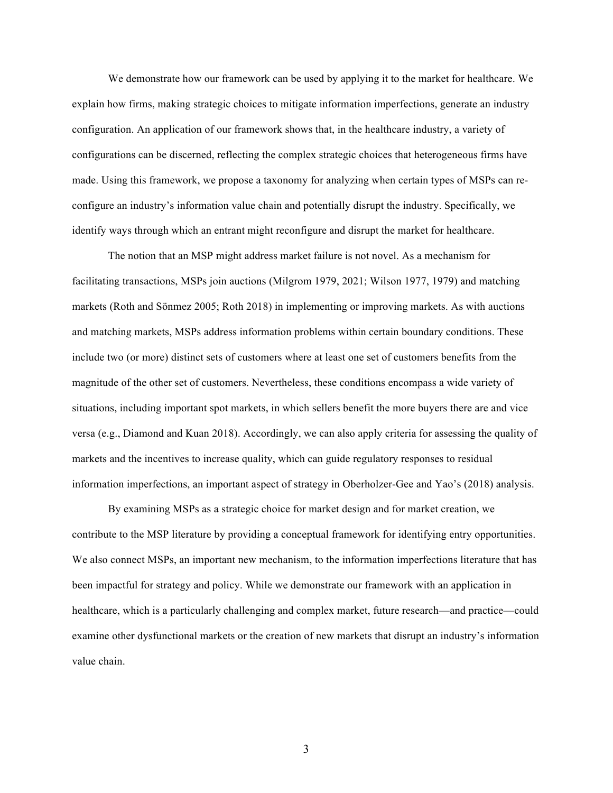We demonstrate how our framework can be used by applying it to the market for healthcare. We explain how firms, making strategic choices to mitigate information imperfections, generate an industry configuration. An application of our framework shows that, in the healthcare industry, a variety of configurations can be discerned, reflecting the complex strategic choices that heterogeneous firms have made. Using this framework, we propose a taxonomy for analyzing when certain types of MSPs can reconfigure an industry's information value chain and potentially disrupt the industry. Specifically, we identify ways through which an entrant might reconfigure and disrupt the market for healthcare.

The notion that an MSP might address market failure is not novel. As a mechanism for facilitating transactions, MSPs join auctions (Milgrom 1979, 2021; Wilson 1977, 1979) and matching markets (Roth and Sönmez 2005; Roth 2018) in implementing or improving markets. As with auctions and matching markets, MSPs address information problems within certain boundary conditions. These include two (or more) distinct sets of customers where at least one set of customers benefits from the magnitude of the other set of customers. Nevertheless, these conditions encompass a wide variety of situations, including important spot markets, in which sellers benefit the more buyers there are and vice versa (e.g., Diamond and Kuan 2018). Accordingly, we can also apply criteria for assessing the quality of markets and the incentives to increase quality, which can guide regulatory responses to residual information imperfections, an important aspect of strategy in Oberholzer-Gee and Yao's (2018) analysis.

By examining MSPs as a strategic choice for market design and for market creation, we contribute to the MSP literature by providing a conceptual framework for identifying entry opportunities. We also connect MSPs, an important new mechanism, to the information imperfections literature that has been impactful for strategy and policy. While we demonstrate our framework with an application in healthcare, which is a particularly challenging and complex market, future research—and practice—could examine other dysfunctional markets or the creation of new markets that disrupt an industry's information value chain.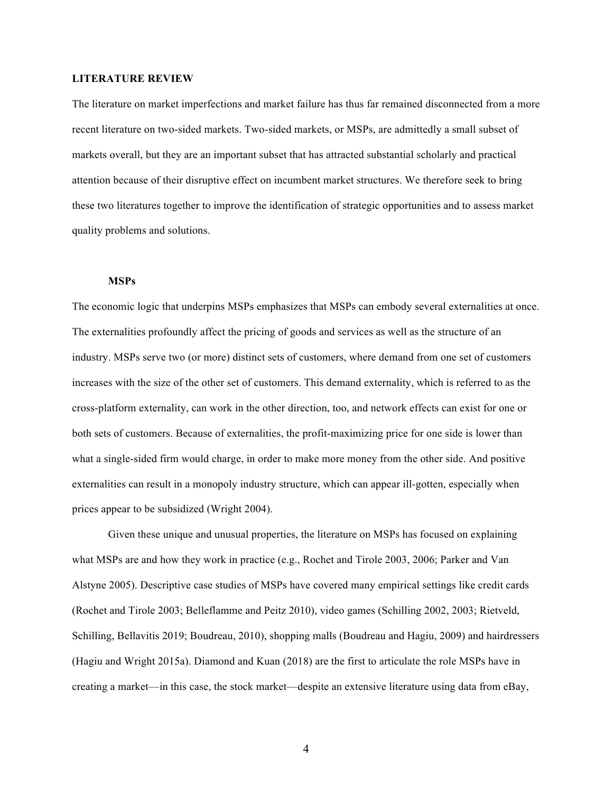## **LITERATURE REVIEW**

The literature on market imperfections and market failure has thus far remained disconnected from a more recent literature on two-sided markets. Two-sided markets, or MSPs, are admittedly a small subset of markets overall, but they are an important subset that has attracted substantial scholarly and practical attention because of their disruptive effect on incumbent market structures. We therefore seek to bring these two literatures together to improve the identification of strategic opportunities and to assess market quality problems and solutions.

## **MSPs**

The economic logic that underpins MSPs emphasizes that MSPs can embody several externalities at once. The externalities profoundly affect the pricing of goods and services as well as the structure of an industry. MSPs serve two (or more) distinct sets of customers, where demand from one set of customers increases with the size of the other set of customers. This demand externality, which is referred to as the cross-platform externality, can work in the other direction, too, and network effects can exist for one or both sets of customers. Because of externalities, the profit-maximizing price for one side is lower than what a single-sided firm would charge, in order to make more money from the other side. And positive externalities can result in a monopoly industry structure, which can appear ill-gotten, especially when prices appear to be subsidized (Wright 2004).

Given these unique and unusual properties, the literature on MSPs has focused on explaining what MSPs are and how they work in practice (e.g., Rochet and Tirole 2003, 2006; Parker and Van Alstyne 2005). Descriptive case studies of MSPs have covered many empirical settings like credit cards (Rochet and Tirole 2003; Belleflamme and Peitz 2010), video games (Schilling 2002, 2003; Rietveld, Schilling, Bellavitis 2019; Boudreau, 2010), shopping malls (Boudreau and Hagiu, 2009) and hairdressers (Hagiu and Wright 2015a). Diamond and Kuan (2018) are the first to articulate the role MSPs have in creating a market—in this case, the stock market—despite an extensive literature using data from eBay,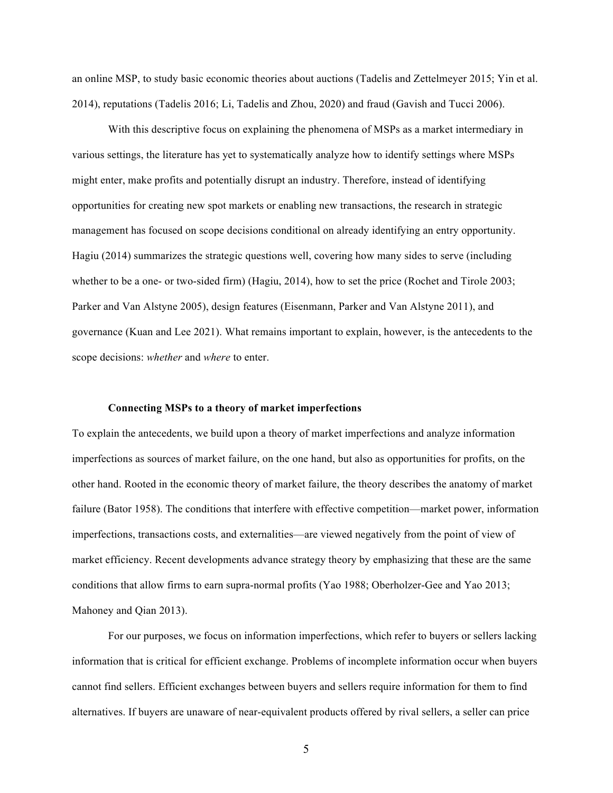an online MSP, to study basic economic theories about auctions (Tadelis and Zettelmeyer 2015; Yin et al. 2014), reputations (Tadelis 2016; Li, Tadelis and Zhou, 2020) and fraud (Gavish and Tucci 2006).

With this descriptive focus on explaining the phenomena of MSPs as a market intermediary in various settings, the literature has yet to systematically analyze how to identify settings where MSPs might enter, make profits and potentially disrupt an industry. Therefore, instead of identifying opportunities for creating new spot markets or enabling new transactions, the research in strategic management has focused on scope decisions conditional on already identifying an entry opportunity. Hagiu (2014) summarizes the strategic questions well, covering how many sides to serve (including whether to be a one- or two-sided firm) (Hagiu, 2014), how to set the price (Rochet and Tirole 2003; Parker and Van Alstyne 2005), design features (Eisenmann, Parker and Van Alstyne 2011), and governance (Kuan and Lee 2021). What remains important to explain, however, is the antecedents to the scope decisions: *whether* and *where* to enter.

# **Connecting MSPs to a theory of market imperfections**

To explain the antecedents, we build upon a theory of market imperfections and analyze information imperfections as sources of market failure, on the one hand, but also as opportunities for profits, on the other hand. Rooted in the economic theory of market failure, the theory describes the anatomy of market failure (Bator 1958). The conditions that interfere with effective competition—market power, information imperfections, transactions costs, and externalities—are viewed negatively from the point of view of market efficiency. Recent developments advance strategy theory by emphasizing that these are the same conditions that allow firms to earn supra-normal profits (Yao 1988; Oberholzer-Gee and Yao 2013; Mahoney and Qian 2013).

For our purposes, we focus on information imperfections, which refer to buyers or sellers lacking information that is critical for efficient exchange. Problems of incomplete information occur when buyers cannot find sellers. Efficient exchanges between buyers and sellers require information for them to find alternatives. If buyers are unaware of near-equivalent products offered by rival sellers, a seller can price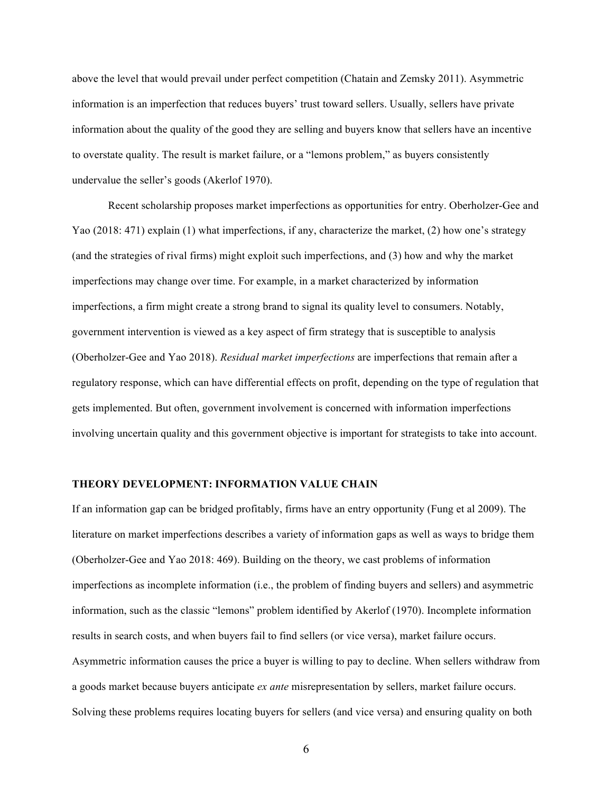above the level that would prevail under perfect competition (Chatain and Zemsky 2011). Asymmetric information is an imperfection that reduces buyers' trust toward sellers. Usually, sellers have private information about the quality of the good they are selling and buyers know that sellers have an incentive to overstate quality. The result is market failure, or a "lemons problem," as buyers consistently undervalue the seller's goods (Akerlof 1970).

Recent scholarship proposes market imperfections as opportunities for entry. Oberholzer-Gee and Yao (2018: 471) explain (1) what imperfections, if any, characterize the market, (2) how one's strategy (and the strategies of rival firms) might exploit such imperfections, and (3) how and why the market imperfections may change over time. For example, in a market characterized by information imperfections, a firm might create a strong brand to signal its quality level to consumers. Notably, government intervention is viewed as a key aspect of firm strategy that is susceptible to analysis (Oberholzer-Gee and Yao 2018). *Residual market imperfections* are imperfections that remain after a regulatory response, which can have differential effects on profit, depending on the type of regulation that gets implemented. But often, government involvement is concerned with information imperfections involving uncertain quality and this government objective is important for strategists to take into account.

### **THEORY DEVELOPMENT: INFORMATION VALUE CHAIN**

If an information gap can be bridged profitably, firms have an entry opportunity (Fung et al 2009). The literature on market imperfections describes a variety of information gaps as well as ways to bridge them (Oberholzer-Gee and Yao 2018: 469). Building on the theory, we cast problems of information imperfections as incomplete information (i.e., the problem of finding buyers and sellers) and asymmetric information, such as the classic "lemons" problem identified by Akerlof (1970). Incomplete information results in search costs, and when buyers fail to find sellers (or vice versa), market failure occurs. Asymmetric information causes the price a buyer is willing to pay to decline. When sellers withdraw from a goods market because buyers anticipate *ex ante* misrepresentation by sellers, market failure occurs. Solving these problems requires locating buyers for sellers (and vice versa) and ensuring quality on both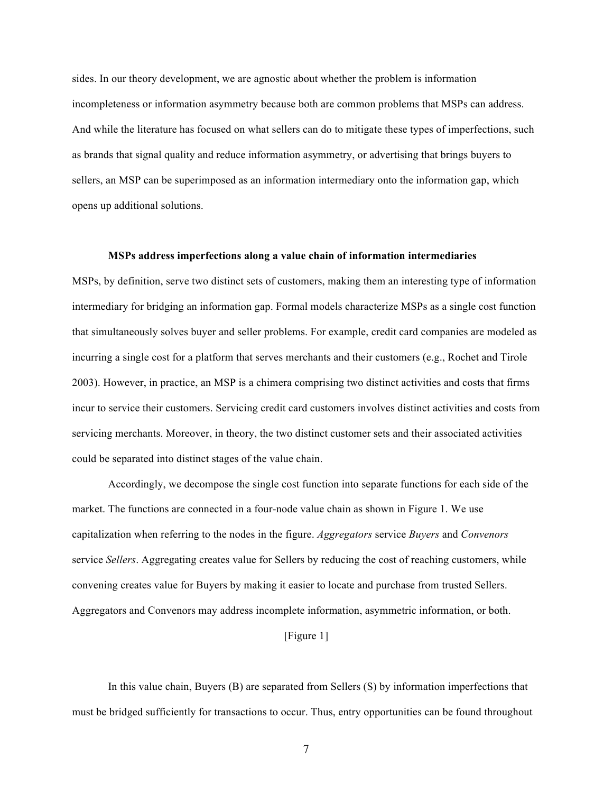sides. In our theory development, we are agnostic about whether the problem is information incompleteness or information asymmetry because both are common problems that MSPs can address. And while the literature has focused on what sellers can do to mitigate these types of imperfections, such as brands that signal quality and reduce information asymmetry, or advertising that brings buyers to sellers, an MSP can be superimposed as an information intermediary onto the information gap, which opens up additional solutions.

### **MSPs address imperfections along a value chain of information intermediaries**

MSPs, by definition, serve two distinct sets of customers, making them an interesting type of information intermediary for bridging an information gap. Formal models characterize MSPs as a single cost function that simultaneously solves buyer and seller problems. For example, credit card companies are modeled as incurring a single cost for a platform that serves merchants and their customers (e.g., Rochet and Tirole 2003). However, in practice, an MSP is a chimera comprising two distinct activities and costs that firms incur to service their customers. Servicing credit card customers involves distinct activities and costs from servicing merchants. Moreover, in theory, the two distinct customer sets and their associated activities could be separated into distinct stages of the value chain.

Accordingly, we decompose the single cost function into separate functions for each side of the market. The functions are connected in a four-node value chain as shown in Figure 1. We use capitalization when referring to the nodes in the figure. *Aggregators* service *Buyers* and *Convenors* service *Sellers*. Aggregating creates value for Sellers by reducing the cost of reaching customers, while convening creates value for Buyers by making it easier to locate and purchase from trusted Sellers. Aggregators and Convenors may address incomplete information, asymmetric information, or both.

## [Figure 1]

In this value chain, Buyers (B) are separated from Sellers (S) by information imperfections that must be bridged sufficiently for transactions to occur. Thus, entry opportunities can be found throughout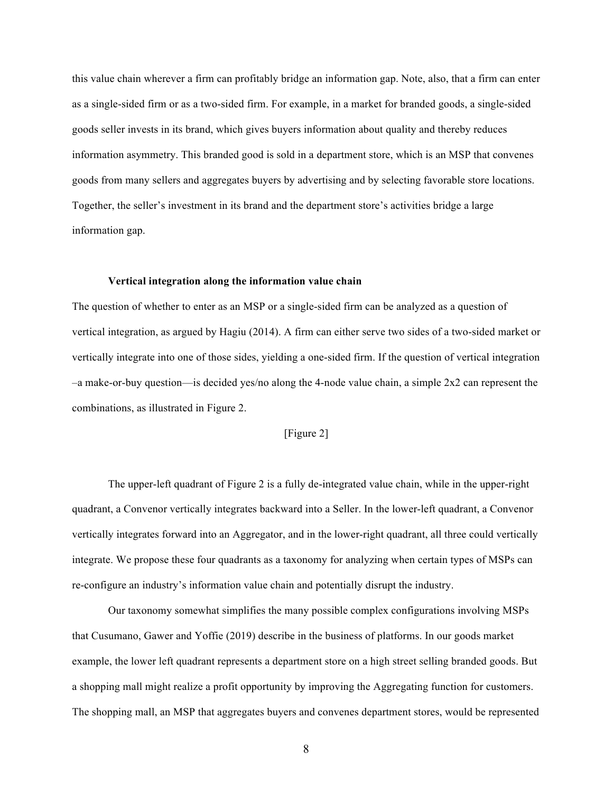this value chain wherever a firm can profitably bridge an information gap. Note, also, that a firm can enter as a single-sided firm or as a two-sided firm. For example, in a market for branded goods, a single-sided goods seller invests in its brand, which gives buyers information about quality and thereby reduces information asymmetry. This branded good is sold in a department store, which is an MSP that convenes goods from many sellers and aggregates buyers by advertising and by selecting favorable store locations. Together, the seller's investment in its brand and the department store's activities bridge a large information gap.

### **Vertical integration along the information value chain**

The question of whether to enter as an MSP or a single-sided firm can be analyzed as a question of vertical integration, as argued by Hagiu (2014). A firm can either serve two sides of a two-sided market or vertically integrate into one of those sides, yielding a one-sided firm. If the question of vertical integration  $-a$  make-or-buy question—is decided yes/no along the 4-node value chain, a simple  $2x2$  can represent the combinations, as illustrated in Figure 2.

## [Figure 2]

The upper-left quadrant of Figure 2 is a fully de-integrated value chain, while in the upper-right quadrant, a Convenor vertically integrates backward into a Seller. In the lower-left quadrant, a Convenor vertically integrates forward into an Aggregator, and in the lower-right quadrant, all three could vertically integrate. We propose these four quadrants as a taxonomy for analyzing when certain types of MSPs can re-configure an industry's information value chain and potentially disrupt the industry.

Our taxonomy somewhat simplifies the many possible complex configurations involving MSPs that Cusumano, Gawer and Yoffie (2019) describe in the business of platforms. In our goods market example, the lower left quadrant represents a department store on a high street selling branded goods. But a shopping mall might realize a profit opportunity by improving the Aggregating function for customers. The shopping mall, an MSP that aggregates buyers and convenes department stores, would be represented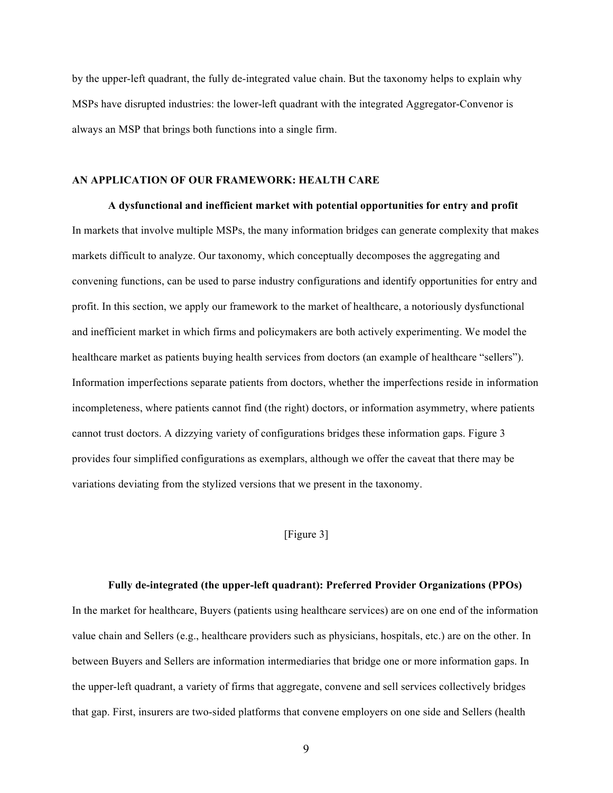by the upper-left quadrant, the fully de-integrated value chain. But the taxonomy helps to explain why MSPs have disrupted industries: the lower-left quadrant with the integrated Aggregator-Convenor is always an MSP that brings both functions into a single firm.

### **AN APPLICATION OF OUR FRAMEWORK: HEALTH CARE**

**A dysfunctional and inefficient market with potential opportunities for entry and profit** In markets that involve multiple MSPs, the many information bridges can generate complexity that makes markets difficult to analyze. Our taxonomy, which conceptually decomposes the aggregating and convening functions, can be used to parse industry configurations and identify opportunities for entry and profit. In this section, we apply our framework to the market of healthcare, a notoriously dysfunctional and inefficient market in which firms and policymakers are both actively experimenting. We model the healthcare market as patients buying health services from doctors (an example of healthcare "sellers"). Information imperfections separate patients from doctors, whether the imperfections reside in information incompleteness, where patients cannot find (the right) doctors, or information asymmetry, where patients cannot trust doctors. A dizzying variety of configurations bridges these information gaps. Figure 3 provides four simplified configurations as exemplars, although we offer the caveat that there may be variations deviating from the stylized versions that we present in the taxonomy.

# [Figure 3]

#### **Fully de-integrated (the upper-left quadrant): Preferred Provider Organizations (PPOs)**

In the market for healthcare, Buyers (patients using healthcare services) are on one end of the information value chain and Sellers (e.g., healthcare providers such as physicians, hospitals, etc.) are on the other. In between Buyers and Sellers are information intermediaries that bridge one or more information gaps. In the upper-left quadrant, a variety of firms that aggregate, convene and sell services collectively bridges that gap. First, insurers are two-sided platforms that convene employers on one side and Sellers (health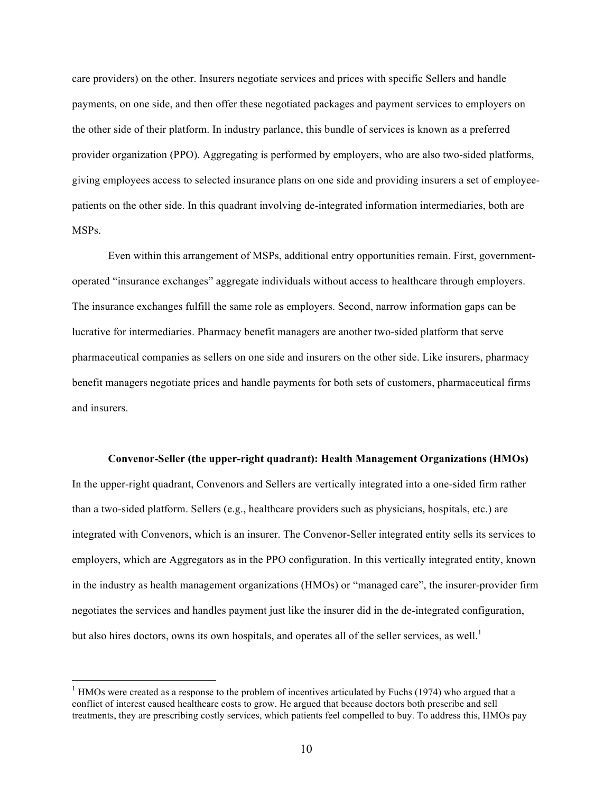care providers) on the other. Insurers negotiate services and prices with specific Sellers and handle payments, on one side, and then offer these negotiated packages and payment services to employers on the other side of their platform. In industry parlance, this bundle of services is known as a preferred provider organization (PPO). Aggregating is performed by employers, who are also two-sided platforms, giving employees access to selected insurance plans on one side and providing insurers a set of employeepatients on the other side. In this quadrant involving de-integrated information intermediaries, both are MSPs.

Even within this arrangement of MSPs, additional entry opportunities remain. First, governmentoperated "insurance exchanges" aggregate individuals without access to healthcare through employers. The insurance exchanges fulfill the same role as employers. Second, narrow information gaps can be lucrative for intermediaries. Pharmacy benefit managers are another two-sided platform that serve pharmaceutical companies as sellers on one side and insurers on the other side. Like insurers, pharmacy benefit managers negotiate prices and handle payments for both sets of customers, pharmaceutical firms and insurers.

## **Convenor-Seller (the upper-right quadrant): Health Management Organizations (HMOs)**

In the upper-right quadrant, Convenors and Sellers are vertically integrated into a one-sided firm rather than a two-sided platform. Sellers (e.g., healthcare providers such as physicians, hospitals, etc.) are integrated with Convenors, which is an insurer. The Convenor-Seller integrated entity sells its services to employers, which are Aggregators as in the PPO configuration. In this vertically integrated entity, known in the industry as health management organizations (HMOs) or "managed care", the insurer-provider firm negotiates the services and handles payment just like the insurer did in the de-integrated configuration, but also hires doctors, owns its own hospitals, and operates all of the seller services, as well.<sup>1</sup>

 $<sup>1</sup>$  HMOs were created as a response to the problem of incentives articulated by Fuchs (1974) who argued that a</sup> conflict of interest caused healthcare costs to grow. He argued that because doctors both prescribe and sell treatments, they are prescribing costly services, which patients feel compelled to buy. To address this, HMOs pay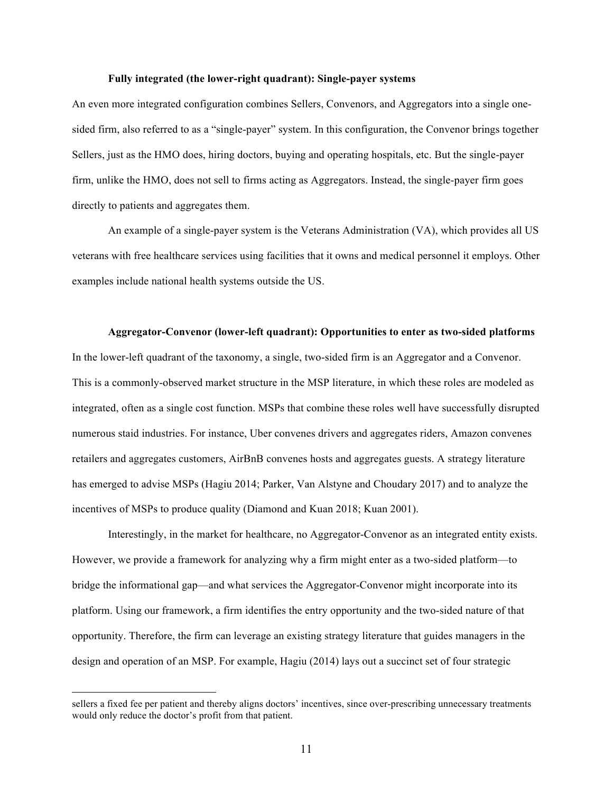### **Fully integrated (the lower-right quadrant): Single-payer systems**

An even more integrated configuration combines Sellers, Convenors, and Aggregators into a single onesided firm, also referred to as a "single-payer" system. In this configuration, the Convenor brings together Sellers, just as the HMO does, hiring doctors, buying and operating hospitals, etc. But the single-payer firm, unlike the HMO, does not sell to firms acting as Aggregators. Instead, the single-payer firm goes directly to patients and aggregates them.

An example of a single-payer system is the Veterans Administration (VA), which provides all US veterans with free healthcare services using facilities that it owns and medical personnel it employs. Other examples include national health systems outside the US.

## **Aggregator-Convenor (lower-left quadrant): Opportunities to enter as two-sided platforms**

In the lower-left quadrant of the taxonomy, a single, two-sided firm is an Aggregator and a Convenor. This is a commonly-observed market structure in the MSP literature, in which these roles are modeled as integrated, often as a single cost function. MSPs that combine these roles well have successfully disrupted numerous staid industries. For instance, Uber convenes drivers and aggregates riders, Amazon convenes retailers and aggregates customers, AirBnB convenes hosts and aggregates guests. A strategy literature has emerged to advise MSPs (Hagiu 2014; Parker, Van Alstyne and Choudary 2017) and to analyze the incentives of MSPs to produce quality (Diamond and Kuan 2018; Kuan 2001).

Interestingly, in the market for healthcare, no Aggregator-Convenor as an integrated entity exists. However, we provide a framework for analyzing why a firm might enter as a two-sided platform—to bridge the informational gap—and what services the Aggregator-Convenor might incorporate into its platform. Using our framework, a firm identifies the entry opportunity and the two-sided nature of that opportunity. Therefore, the firm can leverage an existing strategy literature that guides managers in the design and operation of an MSP. For example, Hagiu (2014) lays out a succinct set of four strategic

sellers a fixed fee per patient and thereby aligns doctors' incentives, since over-prescribing unnecessary treatments would only reduce the doctor's profit from that patient.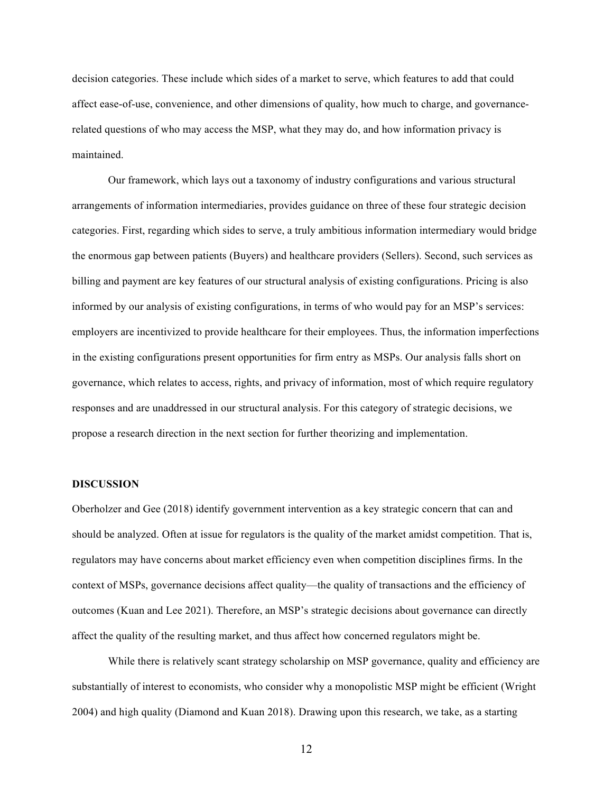decision categories. These include which sides of a market to serve, which features to add that could affect ease-of-use, convenience, and other dimensions of quality, how much to charge, and governancerelated questions of who may access the MSP, what they may do, and how information privacy is maintained.

Our framework, which lays out a taxonomy of industry configurations and various structural arrangements of information intermediaries, provides guidance on three of these four strategic decision categories. First, regarding which sides to serve, a truly ambitious information intermediary would bridge the enormous gap between patients (Buyers) and healthcare providers (Sellers). Second, such services as billing and payment are key features of our structural analysis of existing configurations. Pricing is also informed by our analysis of existing configurations, in terms of who would pay for an MSP's services: employers are incentivized to provide healthcare for their employees. Thus, the information imperfections in the existing configurations present opportunities for firm entry as MSPs. Our analysis falls short on governance, which relates to access, rights, and privacy of information, most of which require regulatory responses and are unaddressed in our structural analysis. For this category of strategic decisions, we propose a research direction in the next section for further theorizing and implementation.

### **DISCUSSION**

Oberholzer and Gee (2018) identify government intervention as a key strategic concern that can and should be analyzed. Often at issue for regulators is the quality of the market amidst competition. That is, regulators may have concerns about market efficiency even when competition disciplines firms. In the context of MSPs, governance decisions affect quality—the quality of transactions and the efficiency of outcomes (Kuan and Lee 2021). Therefore, an MSP's strategic decisions about governance can directly affect the quality of the resulting market, and thus affect how concerned regulators might be.

While there is relatively scant strategy scholarship on MSP governance, quality and efficiency are substantially of interest to economists, who consider why a monopolistic MSP might be efficient (Wright 2004) and high quality (Diamond and Kuan 2018). Drawing upon this research, we take, as a starting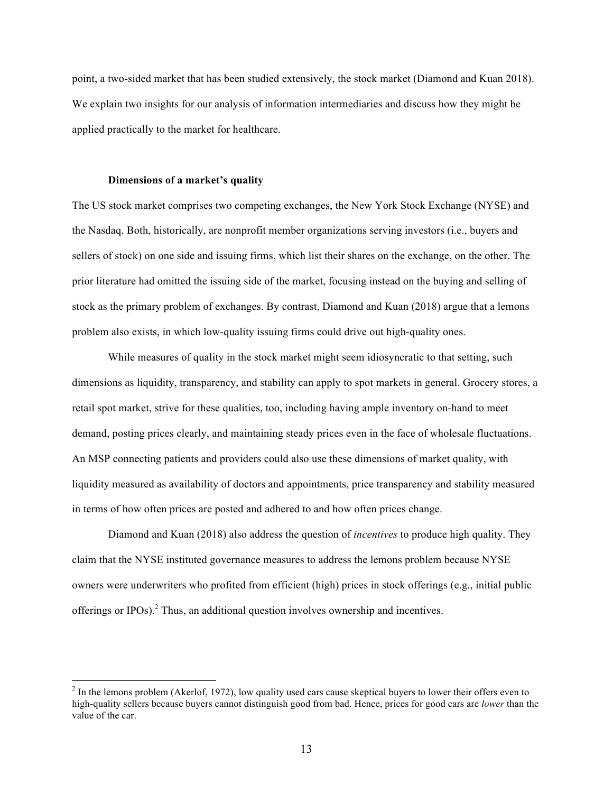point, a two-sided market that has been studied extensively, the stock market (Diamond and Kuan 2018). We explain two insights for our analysis of information intermediaries and discuss how they might be applied practically to the market for healthcare.

### **Dimensions of a market's quality**

The US stock market comprises two competing exchanges, the New York Stock Exchange (NYSE) and the Nasdaq. Both, historically, are nonprofit member organizations serving investors (i.e., buyers and sellers of stock) on one side and issuing firms, which list their shares on the exchange, on the other. The prior literature had omitted the issuing side of the market, focusing instead on the buying and selling of stock as the primary problem of exchanges. By contrast, Diamond and Kuan (2018) argue that a lemons problem also exists, in which low-quality issuing firms could drive out high-quality ones.

While measures of quality in the stock market might seem idiosyncratic to that setting, such dimensions as liquidity, transparency, and stability can apply to spot markets in general. Grocery stores, a retail spot market, strive for these qualities, too, including having ample inventory on-hand to meet demand, posting prices clearly, and maintaining steady prices even in the face of wholesale fluctuations. An MSP connecting patients and providers could also use these dimensions of market quality, with liquidity measured as availability of doctors and appointments, price transparency and stability measured in terms of how often prices are posted and adhered to and how often prices change.

Diamond and Kuan (2018) also address the question of *incentives* to produce high quality. They claim that the NYSE instituted governance measures to address the lemons problem because NYSE owners were underwriters who profited from efficient (high) prices in stock offerings (e.g., initial public offerings or IPOs $)$ .<sup>2</sup> Thus, an additional question involves ownership and incentives.

 $<sup>2</sup>$  In the lemons problem (Akerlof, 1972), low quality used cars cause skeptical buyers to lower their offers even to</sup> high-quality sellers because buyers cannot distinguish good from bad. Hence, prices for good cars are *lower* than the value of the car.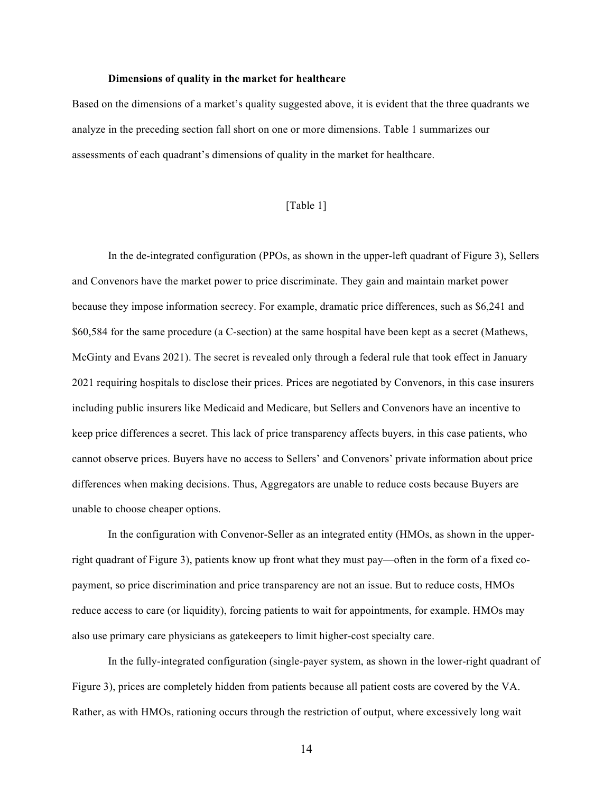### **Dimensions of quality in the market for healthcare**

Based on the dimensions of a market's quality suggested above, it is evident that the three quadrants we analyze in the preceding section fall short on one or more dimensions. Table 1 summarizes our assessments of each quadrant's dimensions of quality in the market for healthcare.

## [Table 1]

In the de-integrated configuration (PPOs, as shown in the upper-left quadrant of Figure 3), Sellers and Convenors have the market power to price discriminate. They gain and maintain market power because they impose information secrecy. For example, dramatic price differences, such as \$6,241 and \$60,584 for the same procedure (a C-section) at the same hospital have been kept as a secret (Mathews, McGinty and Evans 2021). The secret is revealed only through a federal rule that took effect in January 2021 requiring hospitals to disclose their prices. Prices are negotiated by Convenors, in this case insurers including public insurers like Medicaid and Medicare, but Sellers and Convenors have an incentive to keep price differences a secret. This lack of price transparency affects buyers, in this case patients, who cannot observe prices. Buyers have no access to Sellers' and Convenors' private information about price differences when making decisions. Thus, Aggregators are unable to reduce costs because Buyers are unable to choose cheaper options.

In the configuration with Convenor-Seller as an integrated entity (HMOs, as shown in the upperright quadrant of Figure 3), patients know up front what they must pay—often in the form of a fixed copayment, so price discrimination and price transparency are not an issue. But to reduce costs, HMOs reduce access to care (or liquidity), forcing patients to wait for appointments, for example. HMOs may also use primary care physicians as gatekeepers to limit higher-cost specialty care.

In the fully-integrated configuration (single-payer system, as shown in the lower-right quadrant of Figure 3), prices are completely hidden from patients because all patient costs are covered by the VA. Rather, as with HMOs, rationing occurs through the restriction of output, where excessively long wait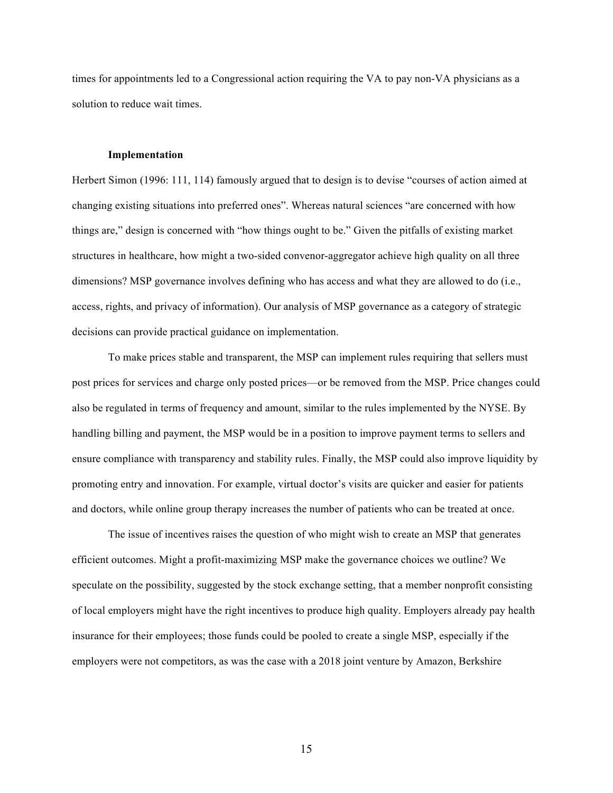times for appointments led to a Congressional action requiring the VA to pay non-VA physicians as a solution to reduce wait times.

## **Implementation**

Herbert Simon (1996: 111, 114) famously argued that to design is to devise "courses of action aimed at changing existing situations into preferred ones". Whereas natural sciences "are concerned with how things are," design is concerned with "how things ought to be." Given the pitfalls of existing market structures in healthcare, how might a two-sided convenor-aggregator achieve high quality on all three dimensions? MSP governance involves defining who has access and what they are allowed to do (i.e., access, rights, and privacy of information). Our analysis of MSP governance as a category of strategic decisions can provide practical guidance on implementation.

To make prices stable and transparent, the MSP can implement rules requiring that sellers must post prices for services and charge only posted prices—or be removed from the MSP. Price changes could also be regulated in terms of frequency and amount, similar to the rules implemented by the NYSE. By handling billing and payment, the MSP would be in a position to improve payment terms to sellers and ensure compliance with transparency and stability rules. Finally, the MSP could also improve liquidity by promoting entry and innovation. For example, virtual doctor's visits are quicker and easier for patients and doctors, while online group therapy increases the number of patients who can be treated at once.

The issue of incentives raises the question of who might wish to create an MSP that generates efficient outcomes. Might a profit-maximizing MSP make the governance choices we outline? We speculate on the possibility, suggested by the stock exchange setting, that a member nonprofit consisting of local employers might have the right incentives to produce high quality. Employers already pay health insurance for their employees; those funds could be pooled to create a single MSP, especially if the employers were not competitors, as was the case with a 2018 joint venture by Amazon, Berkshire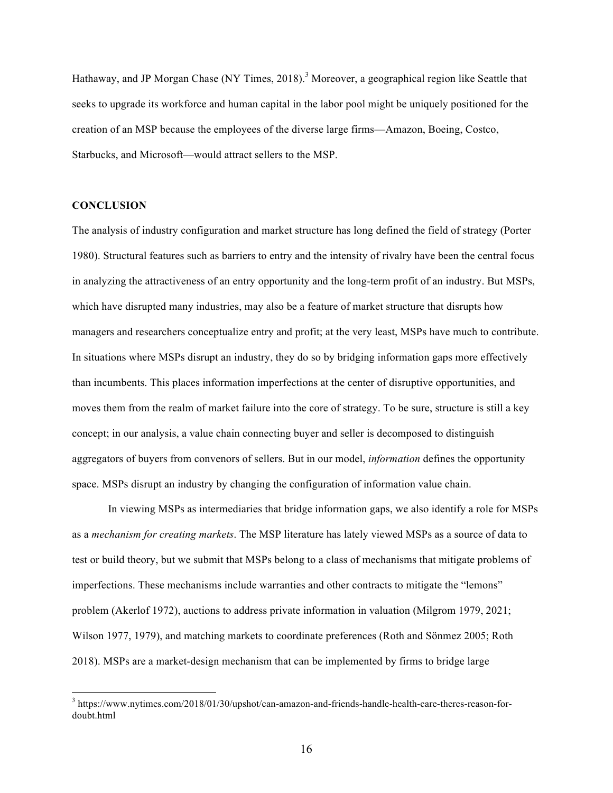Hathaway, and JP Morgan Chase (NY Times, 2018).<sup>3</sup> Moreover, a geographical region like Seattle that seeks to upgrade its workforce and human capital in the labor pool might be uniquely positioned for the creation of an MSP because the employees of the diverse large firms—Amazon, Boeing, Costco, Starbucks, and Microsoft—would attract sellers to the MSP.

## **CONCLUSION**

The analysis of industry configuration and market structure has long defined the field of strategy (Porter 1980). Structural features such as barriers to entry and the intensity of rivalry have been the central focus in analyzing the attractiveness of an entry opportunity and the long-term profit of an industry. But MSPs, which have disrupted many industries, may also be a feature of market structure that disrupts how managers and researchers conceptualize entry and profit; at the very least, MSPs have much to contribute. In situations where MSPs disrupt an industry, they do so by bridging information gaps more effectively than incumbents. This places information imperfections at the center of disruptive opportunities, and moves them from the realm of market failure into the core of strategy. To be sure, structure is still a key concept; in our analysis, a value chain connecting buyer and seller is decomposed to distinguish aggregators of buyers from convenors of sellers. But in our model, *information* defines the opportunity space. MSPs disrupt an industry by changing the configuration of information value chain.

In viewing MSPs as intermediaries that bridge information gaps, we also identify a role for MSPs as a *mechanism for creating markets*. The MSP literature has lately viewed MSPs as a source of data to test or build theory, but we submit that MSPs belong to a class of mechanisms that mitigate problems of imperfections. These mechanisms include warranties and other contracts to mitigate the "lemons" problem (Akerlof 1972), auctions to address private information in valuation (Milgrom 1979, 2021; Wilson 1977, 1979), and matching markets to coordinate preferences (Roth and Sönmez 2005; Roth 2018). MSPs are a market-design mechanism that can be implemented by firms to bridge large

 <sup>3</sup> https://www.nytimes.com/2018/01/30/upshot/can-amazon-and-friends-handle-health-care-theres-reason-fordoubt.html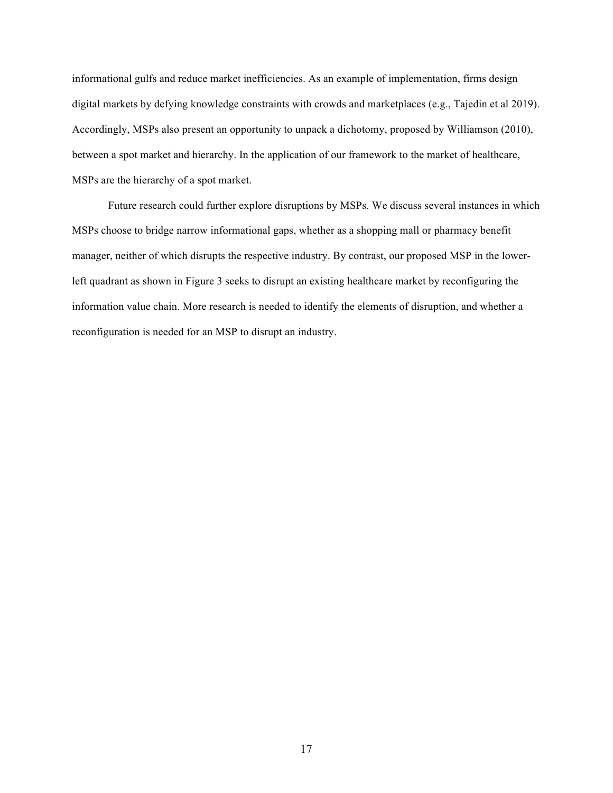informational gulfs and reduce market inefficiencies. As an example of implementation, firms design digital markets by defying knowledge constraints with crowds and marketplaces (e.g., Tajedin et al 2019). Accordingly, MSPs also present an opportunity to unpack a dichotomy, proposed by Williamson (2010), between a spot market and hierarchy. In the application of our framework to the market of healthcare, MSPs are the hierarchy of a spot market.

Future research could further explore disruptions by MSPs. We discuss several instances in which MSPs choose to bridge narrow informational gaps, whether as a shopping mall or pharmacy benefit manager, neither of which disrupts the respective industry. By contrast, our proposed MSP in the lowerleft quadrant as shown in Figure 3 seeks to disrupt an existing healthcare market by reconfiguring the information value chain. More research is needed to identify the elements of disruption, and whether a reconfiguration is needed for an MSP to disrupt an industry.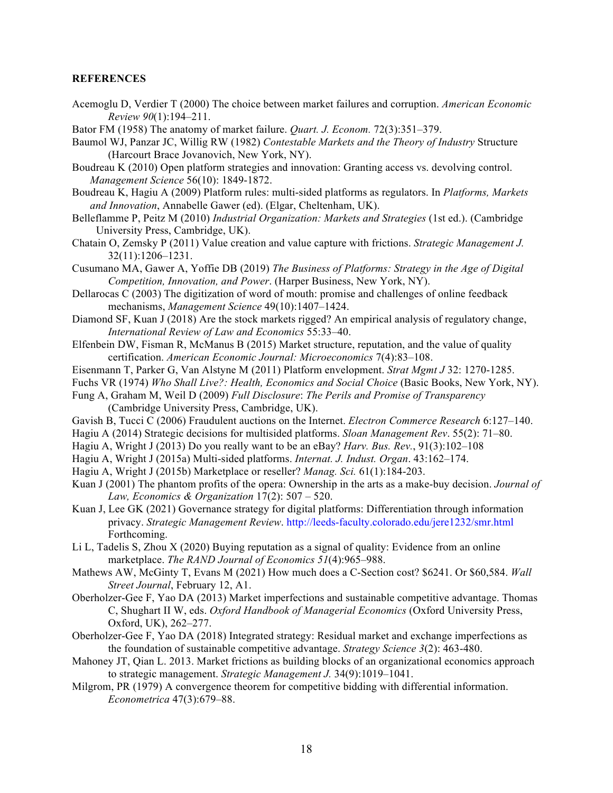# **REFERENCES**

- Acemoglu D, Verdier T (2000) The choice between market failures and corruption. *American Economic Review 90*(1):194–211.
- Bator FM (1958) The anatomy of market failure. *Quart. J. Econom.* 72(3):351–379.
- Baumol WJ, Panzar JC, Willig RW (1982) *Contestable Markets and the Theory of Industry* Structure (Harcourt Brace Jovanovich, New York, NY).
- Boudreau K (2010) Open platform strategies and innovation: Granting access vs. devolving control. *Management Science* 56(10): 1849-1872.
- Boudreau K, Hagiu A (2009) Platform rules: multi-sided platforms as regulators. In *Platforms, Markets and Innovation*, Annabelle Gawer (ed). (Elgar, Cheltenham, UK).
- Belleflamme P, Peitz M (2010) *Industrial Organization: Markets and Strategies* (1st ed.). (Cambridge University Press, Cambridge, UK).
- Chatain O, Zemsky P (2011) Value creation and value capture with frictions. *Strategic Management J.*  32(11):1206–1231.
- Cusumano MA, Gawer A, Yoffie DB (2019) *The Business of Platforms: Strategy in the Age of Digital Competition, Innovation, and Power*. (Harper Business, New York, NY).
- Dellarocas C (2003) The digitization of word of mouth: promise and challenges of online feedback mechanisms, *Management Science* 49(10):1407–1424.
- Diamond SF, Kuan J (2018) Are the stock markets rigged? An empirical analysis of regulatory change, *International Review of Law and Economics* 55:33–40.
- Elfenbein DW, Fisman R, McManus B (2015) Market structure, reputation, and the value of quality certification. *American Economic Journal: Microeconomics* 7(4):83–108.
- Eisenmann T, Parker G, Van Alstyne M (2011) Platform envelopment. *Strat Mgmt J* 32: 1270-1285.
- Fuchs VR (1974) *Who Shall Live?: Health, Economics and Social Choice* (Basic Books, New York, NY).
- Fung A, Graham M, Weil D (2009) *Full Disclosure*: *The Perils and Promise of Transparency*  (Cambridge University Press, Cambridge, UK).
- Gavish B, Tucci C (2006) Fraudulent auctions on the Internet. *Electron Commerce Research* 6:127–140.
- Hagiu A (2014) Strategic decisions for multisided platforms. *Sloan Management Rev*. 55(2): 71–80.
- Hagiu A, Wright J (2013) Do you really want to be an eBay? *Harv. Bus. Rev.*, 91(3):102–108
- Hagiu A, Wright J (2015a) Multi-sided platforms. *Internat. J. Indust. Organ*. 43:162–174.
- Hagiu A, Wright J (2015b) Marketplace or reseller? *Manag. Sci.* 61(1):184-203.
- Kuan J (2001) The phantom profits of the opera: Ownership in the arts as a make-buy decision. *Journal of Law, Economics & Organization* 17(2): 507 – 520.
- Kuan J, Lee GK (2021) Governance strategy for digital platforms: Differentiation through information privacy. *Strategic Management Review*. http://leeds-faculty.colorado.edu/jere1232/smr.html Forthcoming.
- Li L, Tadelis S, Zhou X (2020) Buying reputation as a signal of quality: Evidence from an online marketplace. *The RAND Journal of Economics 51*(4):965–988.
- Mathews AW, McGinty T, Evans M (2021) How much does a C-Section cost? \$6241. Or \$60,584. *Wall Street Journal*, February 12, A1.
- Oberholzer-Gee F, Yao DA (2013) Market imperfections and sustainable competitive advantage. Thomas C, Shughart II W, eds. *Oxford Handbook of Managerial Economics* (Oxford University Press, Oxford, UK), 262–277.
- Oberholzer-Gee F, Yao DA (2018) Integrated strategy: Residual market and exchange imperfections as the foundation of sustainable competitive advantage. *Strategy Science 3*(2): 463-480.
- Mahoney JT, Qian L. 2013. Market frictions as building blocks of an organizational economics approach to strategic management. *Strategic Management J.* 34(9):1019–1041.
- Milgrom, PR (1979) A convergence theorem for competitive bidding with differential information. *Econometrica* 47(3):679–88.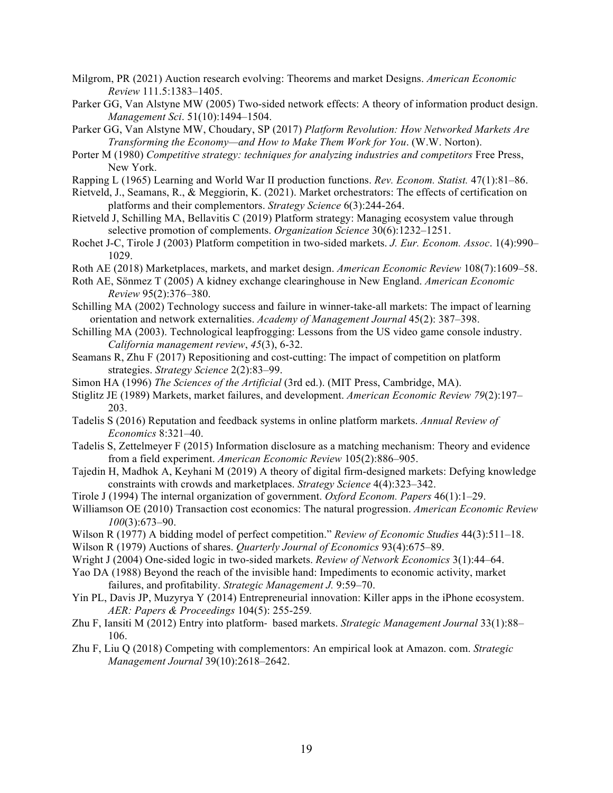- Milgrom, PR (2021) Auction research evolving: Theorems and market Designs. *American Economic Review* 111.5:1383–1405.
- Parker GG, Van Alstyne MW (2005) Two-sided network effects: A theory of information product design. *Management Sci*. 51(10):1494–1504.
- Parker GG, Van Alstyne MW, Choudary, SP (2017) *Platform Revolution: How Networked Markets Are Transforming the Economy—and How to Make Them Work for You*. (W.W. Norton).
- Porter M (1980) *Competitive strategy: techniques for analyzing industries and competitors* Free Press, New York.
- Rapping L (1965) Learning and World War II production functions. *Rev. Econom. Statist.* 47(1):81–86.
- Rietveld, J., Seamans, R., & Meggiorin, K. (2021). Market orchestrators: The effects of certification on platforms and their complementors. *Strategy Science* 6(3):244-264.
- Rietveld J, Schilling MA, Bellavitis C (2019) Platform strategy: Managing ecosystem value through selective promotion of complements. *Organization Science* 30(6):1232–1251.
- Rochet J-C, Tirole J (2003) Platform competition in two-sided markets. *J. Eur. Econom. Assoc*. 1(4):990– 1029.
- Roth AE (2018) Marketplaces, markets, and market design. *American Economic Review* 108(7):1609–58.
- Roth AE, Sönmez T (2005) A kidney exchange clearinghouse in New England. *American Economic Review* 95(2):376–380.
- Schilling MA (2002) Technology success and failure in winner-take-all markets: The impact of learning orientation and network externalities. *Academy of Management Journal* 45(2): 387–398.
- Schilling MA (2003). Technological leapfrogging: Lessons from the US video game console industry. *California management review*, *45*(3), 6-32.
- Seamans R, Zhu F (2017) Repositioning and cost-cutting: The impact of competition on platform strategies. *Strategy Science* 2(2):83–99.
- Simon HA (1996) *The Sciences of the Artificial* (3rd ed.). (MIT Press, Cambridge, MA).
- Stiglitz JE (1989) Markets, market failures, and development. *American Economic Review 79*(2):197– 203.
- Tadelis S (2016) Reputation and feedback systems in online platform markets. *Annual Review of Economics* 8:321–40.
- Tadelis S, Zettelmeyer F (2015) Information disclosure as a matching mechanism: Theory and evidence from a field experiment. *American Economic Review* 105(2):886–905.
- Tajedin H, Madhok A, Keyhani M (2019) A theory of digital firm-designed markets: Defying knowledge constraints with crowds and marketplaces. *Strategy Science* 4(4):323–342.
- Tirole J (1994) The internal organization of government. *Oxford Econom. Papers* 46(1):1–29.
- Williamson OE (2010) Transaction cost economics: The natural progression. *American Economic Review 100*(3):673–90.
- Wilson R (1977) A bidding model of perfect competition." *Review of Economic Studies* 44(3):511–18.
- Wilson R (1979) Auctions of shares. *Quarterly Journal of Economics* 93(4):675–89.
- Wright J (2004) One-sided logic in two-sided markets. *Review of Network Economics* 3(1):44–64.
- Yao DA (1988) Beyond the reach of the invisible hand: Impediments to economic activity, market failures, and profitability. *Strategic Management J.* 9:59–70.
- Yin PL, Davis JP, Muzyrya Y (2014) Entrepreneurial innovation: Killer apps in the iPhone ecosystem. *AER: Papers & Proceedings* 104(5): 255-259*.*
- Zhu F, Iansiti M (2012) Entry into platform- based markets. *Strategic Management Journal* 33(1):88– 106.
- Zhu F, Liu Q (2018) Competing with complementors: An empirical look at Amazon. com. *Strategic Management Journal* 39(10):2618–2642.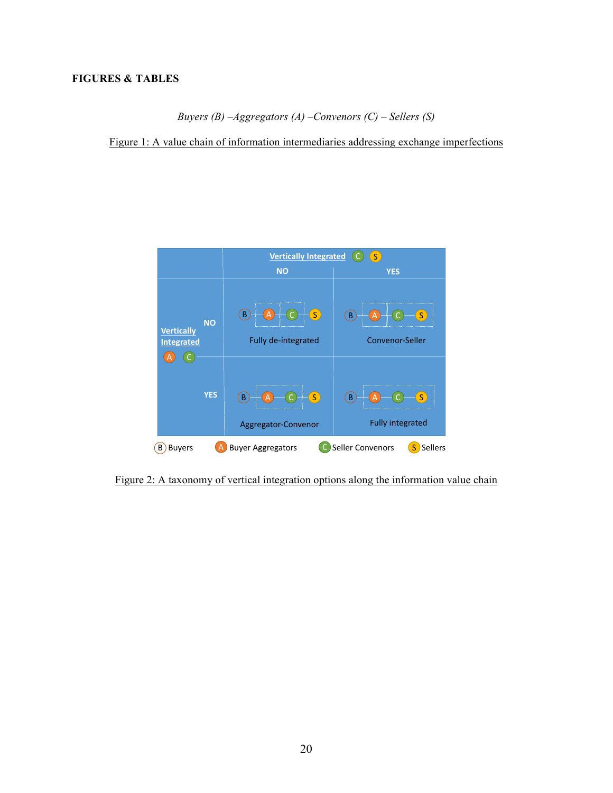*Buyers (B) –Aggregators (A) –Convenors (C) – Sellers (S)*

Figure 1: A value chain of information intermediaries addressing exchange imperfections



Figure 2: A taxonomy of vertical integration options along the information value chain